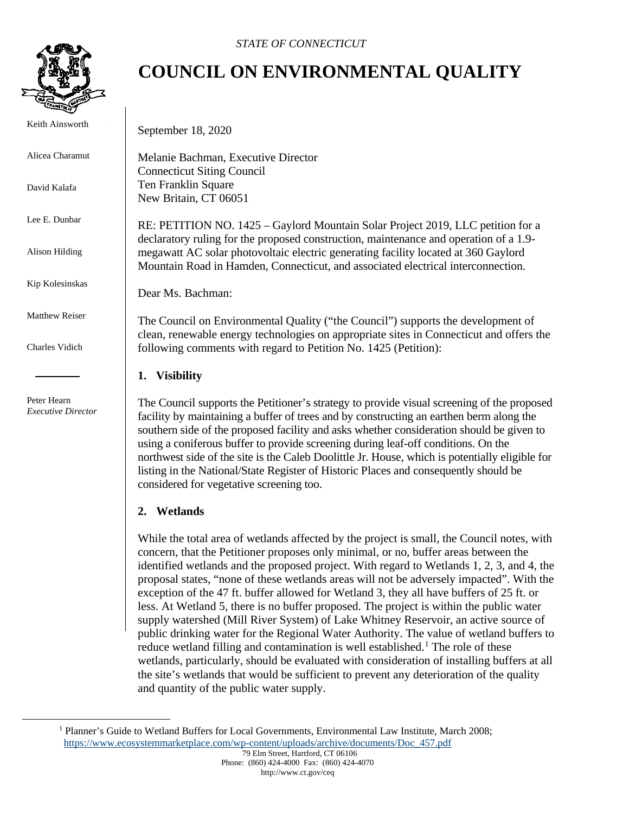

Keith Ainsworth

Alicea Charamut

David Kalafa

Lee E. Dunbar

Alison Hilding

Kip Kolesinskas

Matthew Reiser

Charles Vidich

 Peter Hearn *Executive Director*

## **COUNCIL ON ENVIRONMENTAL QUALITY**

September 18, 2020

Melanie Bachman, Executive Director Connecticut Siting Council Ten Franklin Square New Britain, CT 06051

RE: PETITION NO. 1425 – Gaylord Mountain Solar Project 2019, LLC petition for a declaratory ruling for the proposed construction, maintenance and operation of a 1.9 megawatt AC solar photovoltaic electric generating facility located at 360 Gaylord Mountain Road in Hamden, Connecticut, and associated electrical interconnection.

Dear Ms. Bachman:

The Council on Environmental Quality ("the Council") supports the development of clean, renewable energy technologies on appropriate sites in Connecticut and offers the following comments with regard to Petition No. 1425 (Petition):

## **1. Visibility**

The Council supports the Petitioner's strategy to provide visual screening of the proposed facility by maintaining a buffer of trees and by constructing an earthen berm along the southern side of the proposed facility and asks whether consideration should be given to using a coniferous buffer to provide screening during leaf-off conditions. On the northwest side of the site is the Caleb Doolittle Jr. House, which is potentially eligible for listing in the National/State Register of Historic Places and consequently should be considered for vegetative screening too.

## **2. Wetlands**

While the total area of wetlands affected by the project is small, the Council notes, with concern, that the Petitioner proposes only minimal, or no, buffer areas between the identified wetlands and the proposed project. With regard to Wetlands 1, 2, 3, and 4, the proposal states, "none of these wetlands areas will not be adversely impacted". With the exception of the 47 ft. buffer allowed for Wetland 3, they all have buffers of 25 ft. or less. At Wetland 5, there is no buffer proposed. The project is within the public water supply watershed (Mill River System) of Lake Whitney Reservoir, an active source of public drinking water for the Regional Water Authority. The value of wetland buffers to reduce wetland filling and contamination is well established.<sup>[1](#page-0-0)</sup> The role of these wetlands, particularly, should be evaluated with consideration of installing buffers at all the site's wetlands that would be sufficient to prevent any deterioration of the quality and quantity of the public water supply.

<span id="page-0-0"></span><sup>&</sup>lt;sup>1</sup> Planner's Guide to Wetland Buffers for Local Governments, Environmental Law Institute, March 2008; [https://www.ecosystemmarketplace.com/wp-content/uploads/archive/documents/Doc\\_457.pdf](https://www.ecosystemmarketplace.com/wp-content/uploads/archive/documents/Doc_457.pdf)